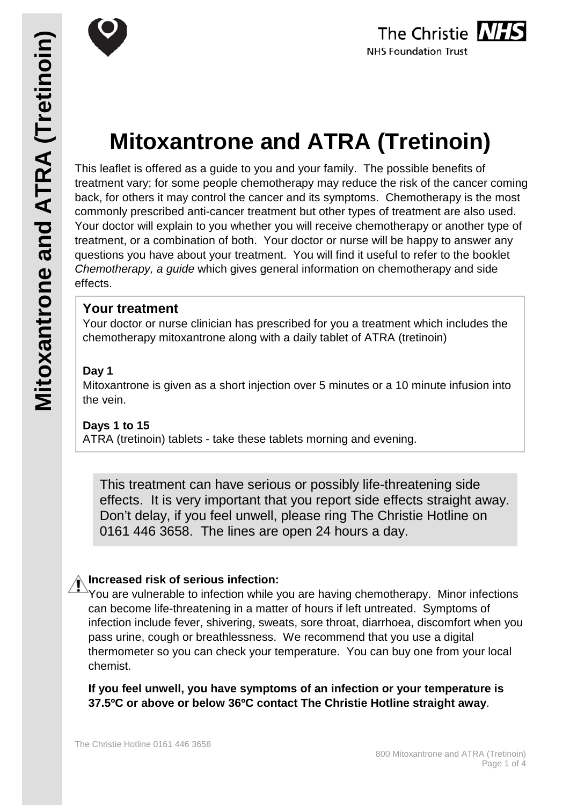

# **Mitoxantrone and ATRA (Tretinoin)**

This leaflet is offered as a guide to you and your family. The possible benefits of treatment vary; for some people chemotherapy may reduce the risk of the cancer coming back, for others it may control the cancer and its symptoms. Chemotherapy is the most commonly prescribed anti-cancer treatment but other types of treatment are also used. Your doctor will explain to you whether you will receive chemotherapy or another type of treatment, or a combination of both. Your doctor or nurse will be happy to answer any questions you have about your treatment. You will find it useful to refer to the booklet *Chemotherapy, a guide* which gives general information on chemotherapy and side effects.

## **Your treatment**

Your doctor or nurse clinician has prescribed for you a treatment which includes the chemotherapy mitoxantrone along with a daily tablet of ATRA (tretinoin)

## **Day 1**

Mitoxantrone is given as a short injection over 5 minutes or a 10 minute infusion into the vein.

### **Days 1 to 15**

ATRA (tretinoin) tablets - take these tablets morning and evening.

This treatment can have serious or possibly life-threatening side effects. It is very important that you report side effects straight away. Don't delay, if you feel unwell, please ring The Christie Hotline on 0161 446 3658. The lines are open 24 hours a day.

## **Increased risk of serious infection:**

You are vulnerable to infection while you are having chemotherapy. Minor infections can become life-threatening in a matter of hours if left untreated. Symptoms of infection include fever, shivering, sweats, sore throat, diarrhoea, discomfort when you pass urine, cough or breathlessness. We recommend that you use a digital thermometer so you can check your temperature. You can buy one from your local chemist.

**If you feel unwell, you have symptoms of an infection or your temperature is 37.5ºC or above or below 36ºC contact The Christie Hotline straight away**.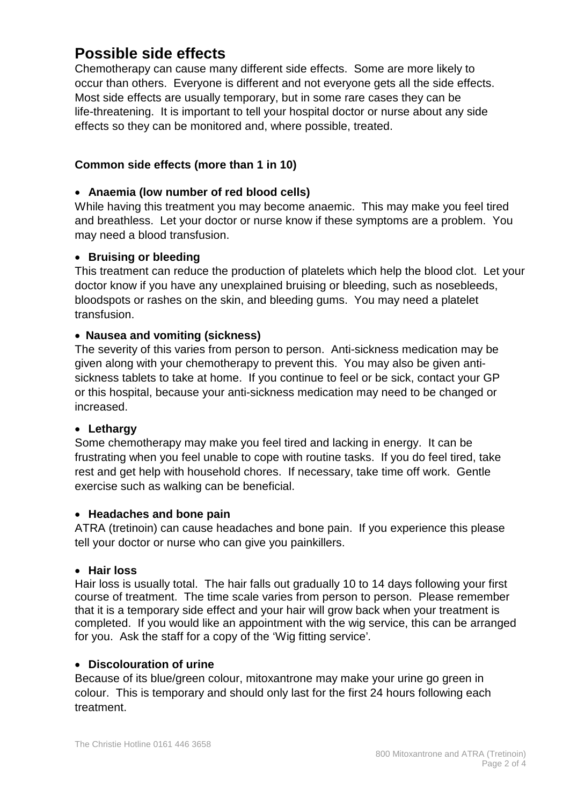# **Possible side effects**

Chemotherapy can cause many different side effects. Some are more likely to occur than others. Everyone is different and not everyone gets all the side effects. Most side effects are usually temporary, but in some rare cases they can be life-threatening. It is important to tell your hospital doctor or nurse about any side effects so they can be monitored and, where possible, treated.

#### **Common side effects (more than 1 in 10)**

#### • **Anaemia (low number of red blood cells)**

While having this treatment you may become anaemic. This may make you feel tired and breathless. Let your doctor or nurse know if these symptoms are a problem. You may need a blood transfusion.

#### • **Bruising or bleeding**

This treatment can reduce the production of platelets which help the blood clot. Let your doctor know if you have any unexplained bruising or bleeding, such as nosebleeds, bloodspots or rashes on the skin, and bleeding gums. You may need a platelet transfusion.

#### • **Nausea and vomiting (sickness)**

The severity of this varies from person to person. Anti-sickness medication may be given along with your chemotherapy to prevent this. You may also be given antisickness tablets to take at home. If you continue to feel or be sick, contact your GP or this hospital, because your anti-sickness medication may need to be changed or increased.

#### • **Lethargy**

Some chemotherapy may make you feel tired and lacking in energy. It can be frustrating when you feel unable to cope with routine tasks. If you do feel tired, take rest and get help with household chores. If necessary, take time off work. Gentle exercise such as walking can be beneficial.

#### • **Headaches and bone pain**

ATRA (tretinoin) can cause headaches and bone pain. If you experience this please tell your doctor or nurse who can give you painkillers.

#### • **Hair loss**

Hair loss is usually total. The hair falls out gradually 10 to 14 days following your first course of treatment. The time scale varies from person to person. Please remember that it is a temporary side effect and your hair will grow back when your treatment is completed. If you would like an appointment with the wig service, this can be arranged for you. Ask the staff for a copy of the 'Wig fitting service'*.*

#### • **Discolouration of urine**

Because of its blue/green colour, mitoxantrone may make your urine go green in colour. This is temporary and should only last for the first 24 hours following each treatment.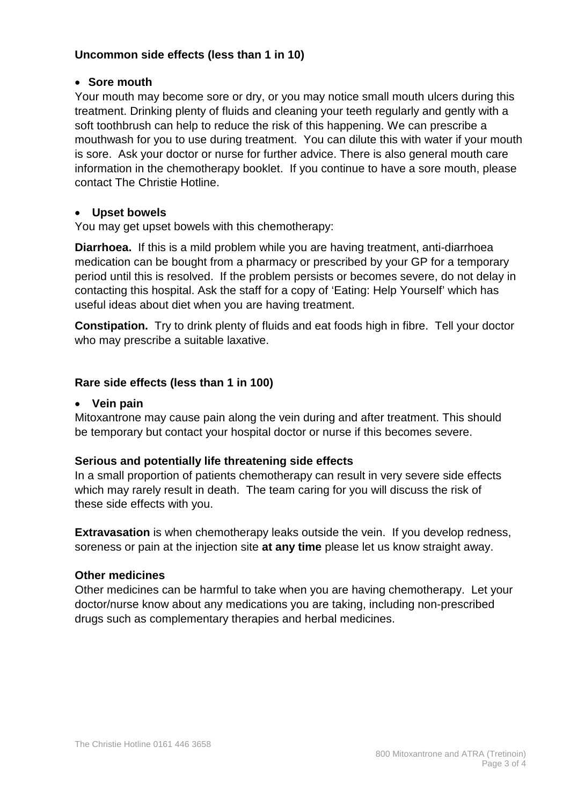#### **Uncommon side effects (less than 1 in 10)**

#### • **Sore mouth**

Your mouth may become sore or dry, or you may notice small mouth ulcers during this treatment. Drinking plenty of fluids and cleaning your teeth regularly and gently with a soft toothbrush can help to reduce the risk of this happening. We can prescribe a mouthwash for you to use during treatment. You can dilute this with water if your mouth is sore. Ask your doctor or nurse for further advice. There is also general mouth care information in the chemotherapy booklet. If you continue to have a sore mouth, please contact The Christie Hotline.

#### • **Upset bowels**

You may get upset bowels with this chemotherapy:

**Diarrhoea.** If this is a mild problem while you are having treatment, anti-diarrhoea medication can be bought from a pharmacy or prescribed by your GP for a temporary period until this is resolved. If the problem persists or becomes severe, do not delay in contacting this hospital. Ask the staff for a copy of 'Eating: Help Yourself' which has useful ideas about diet when you are having treatment.

**Constipation.** Try to drink plenty of fluids and eat foods high in fibre. Tell your doctor who may prescribe a suitable laxative.

#### **Rare side effects (less than 1 in 100)**

#### • **Vein pain**

Mitoxantrone may cause pain along the vein during and after treatment. This should be temporary but contact your hospital doctor or nurse if this becomes severe.

#### **Serious and potentially life threatening side effects**

In a small proportion of patients chemotherapy can result in very severe side effects which may rarely result in death. The team caring for you will discuss the risk of these side effects with you.

**Extravasation** is when chemotherapy leaks outside the vein. If you develop redness, soreness or pain at the injection site **at any time** please let us know straight away.

#### **Other medicines**

Other medicines can be harmful to take when you are having chemotherapy. Let your doctor/nurse know about any medications you are taking, including non-prescribed drugs such as complementary therapies and herbal medicines.